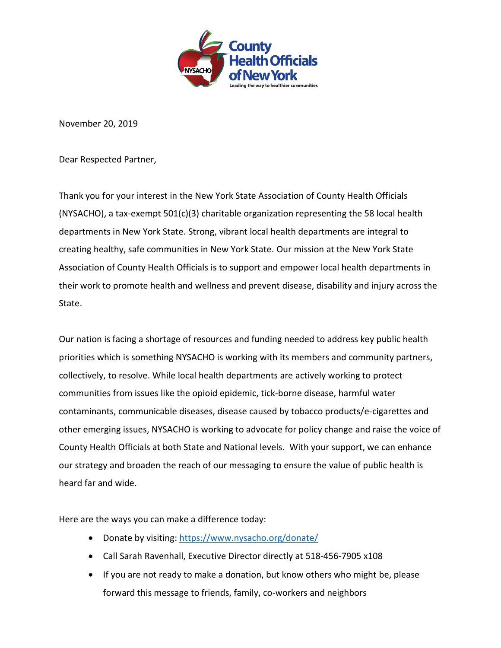

November 20, 2019

Dear Respected Partner,

Thank you for your interest in the New York State Association of County Health Officials (NYSACHO), a tax-exempt  $501(c)(3)$  charitable organization representing the 58 local health departments in New York State. Strong, vibrant local health departments are integral to creating healthy, safe communities in New York State. Our mission at the New York State Association of County Health Officials is to support and empower local health departments in their work to promote health and wellness and prevent disease, disability and injury across the State.

Our nation is facing a shortage of resources and funding needed to address key public health priorities which is something NYSACHO is working with its members and community partners, collectively, to resolve. While local health departments are actively working to protect communities from issues like the opioid epidemic, tick-borne disease, harmful water contaminants, communicable diseases, disease caused by tobacco products/e-cigarettes and other emerging issues, NYSACHO is working to advocate for policy change and raise the voice of County Health Officials at both State and National levels. With your support, we can enhance our strategy and broaden the reach of our messaging to ensure the value of public health is heard far and wide.

Here are the ways you can make a difference today:

- Donate by visiting: <https://www.nysacho.org/donate/>
- Call Sarah Ravenhall, Executive Director directly at 518-456-7905 x108
- If you are not ready to make a donation, but know others who might be, please forward this message to friends, family, co-workers and neighbors